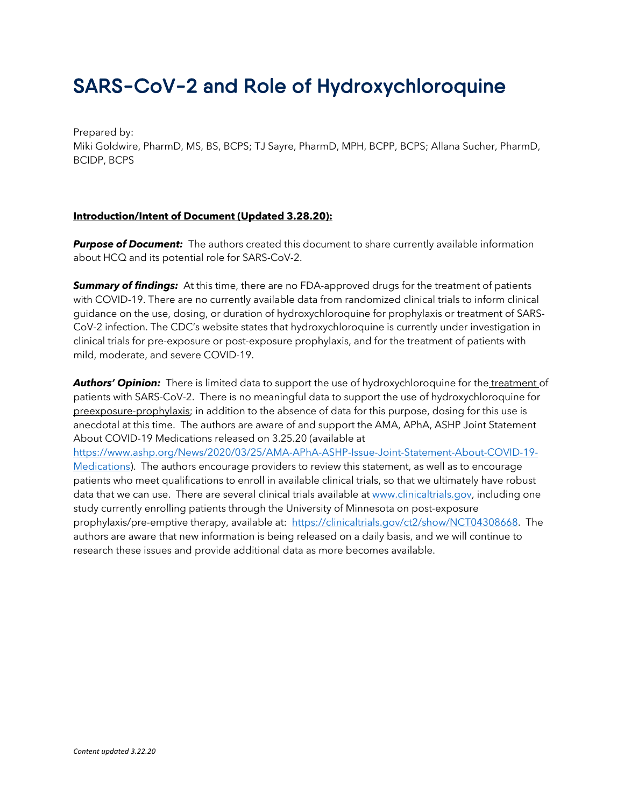# SARS-CoV-2 and Role of Hydroxychloroquine

Prepared by: Miki Goldwire, PharmD, MS, BS, BCPS; TJ Sayre, PharmD, MPH, BCPP, BCPS; Allana Sucher, PharmD, BCIDP, BCPS

#### **Introduction/Intent of Document (Updated 3.28.20):**

**Purpose of Document:** The authors created this document to share currently available information about HCQ and its potential role for SARS-CoV-2.

**Summary of findings:** At this time, there are no FDA-approved drugs for the treatment of patients with COVID-19. There are no currently available data from randomized clinical trials to inform clinical guidance on the use, dosing, or duration of hydroxychloroquine for prophylaxis or treatment of SARS-CoV-2 infection. The CDC's website states that hydroxychloroquine is currently under investigation in clinical trials for pre-exposure or post-exposure prophylaxis, and for the treatment of patients with mild, moderate, and severe COVID-19.

**Authors' Opinion:** There is limited data to support the use of hydroxychloroquine for the treatment of patients with SARS-CoV-2. There is no meaningful data to support the use of hydroxychloroquine for preexposure-prophylaxis; in addition to the absence of data for this purpose, dosing for this use is anecdotal at this time. The authors are aware of and support the AMA, APhA, ASHP Joint Statement About COVID-19 Medications released on 3.25.20 (available at

https://www.ashp.org/News/2020/03/25/AMA-APhA-ASHP-Issue-Joint-Statement-About-COVID-19- Medications). The authors encourage providers to review this statement, as well as to encourage patients who meet qualifications to enroll in available clinical trials, so that we ultimately have robust data that we can use. There are several clinical trials available at www.clinicaltrials.gov, including one study currently enrolling patients through the University of Minnesota on post-exposure prophylaxis/pre-emptive therapy, available at: https://clinicaltrials.gov/ct2/show/NCT04308668. The authors are aware that new information is being released on a daily basis, and we will continue to research these issues and provide additional data as more becomes available.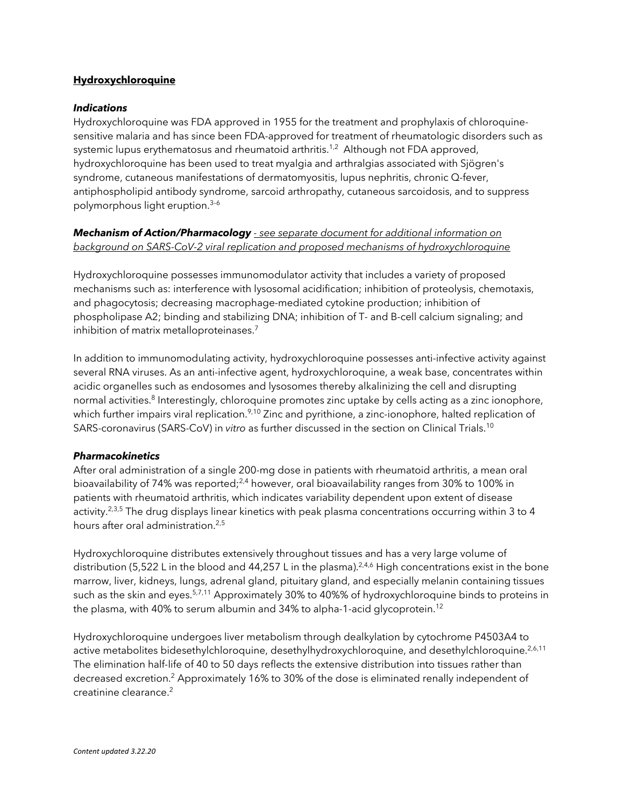#### **Hydroxychloroquine**

#### *Indications*

Hydroxychloroquine was FDA approved in 1955 for the treatment and prophylaxis of chloroquinesensitive malaria and has since been FDA-approved for treatment of rheumatologic disorders such as systemic lupus erythematosus and rheumatoid arthritis.<sup>1,2</sup> Although not FDA approved, hydroxychloroquine has been used to treat myalgia and arthralgias associated with Sjögren's syndrome, cutaneous manifestations of dermatomyositis, lupus nephritis, chronic Q-fever, antiphospholipid antibody syndrome, sarcoid arthropathy, cutaneous sarcoidosis, and to suppress polymorphous light eruption.<sup>3-6</sup>

#### *Mechanism of Action/Pharmacology - see separate document for additional information on background on SARS-CoV-2 viral replication and proposed mechanisms of hydroxychloroquine*

Hydroxychloroquine possesses immunomodulator activity that includes a variety of proposed mechanisms such as: interference with lysosomal acidification; inhibition of proteolysis, chemotaxis, and phagocytosis; decreasing macrophage-mediated cytokine production; inhibition of phospholipase A2; binding and stabilizing DNA; inhibition of T- and B-cell calcium signaling; and inhibition of matrix metalloproteinases. 7

In addition to immunomodulating activity, hydroxychloroquine possesses anti-infective activity against several RNA viruses. As an anti-infective agent, hydroxychloroquine, a weak base, concentrates within acidic organelles such as endosomes and lysosomes thereby alkalinizing the cell and disrupting normal activities.<sup>8</sup> Interestingly, chloroquine promotes zinc uptake by cells acting as a zinc ionophore, which further impairs viral replication.<sup>9,10</sup> Zinc and pyrithione, a zinc-ionophore, halted replication of SARS-coronavirus (SARS-CoV) in *vitro* as further discussed in the section on Clinical Trials. 10

#### *Pharmacokinetics*

After oral administration of a single 200-mg dose in patients with rheumatoid arthritis, a mean oral bioavailability of 74% was reported;<sup>2,4</sup> however, oral bioavailability ranges from 30% to 100% in patients with rheumatoid arthritis, which indicates variability dependent upon extent of disease activity.<sup>2,3,5</sup> The drug displays linear kinetics with peak plasma concentrations occurring within 3 to 4 hours after oral administration.<sup>2,5</sup>

Hydroxychloroquine distributes extensively throughout tissues and has a very large volume of distribution (5,522 L in the blood and 44,257 L in the plasma).<sup>2,4,6</sup> High concentrations exist in the bone marrow, liver, kidneys, lungs, adrenal gland, pituitary gland, and especially melanin containing tissues such as the skin and eyes.<sup>5,7,11</sup> Approximately 30% to 40%% of hydroxychloroquine binds to proteins in the plasma, with 40% to serum albumin and 34% to alpha-1-acid glycoprotein.<sup>12</sup>

Hydroxychloroquine undergoes liver metabolism through dealkylation by cytochrome P4503A4 to active metabolites bidesethylchloroquine, desethylhydroxychloroquine, and desethylchloroquine.<sup>2,6,11</sup> The elimination half-life of 40 to 50 days reflects the extensive distribution into tissues rather than decreased excretion. <sup>2</sup> Approximately 16% to 30% of the dose is eliminated renally independent of creatinine clearance.<sup>2</sup>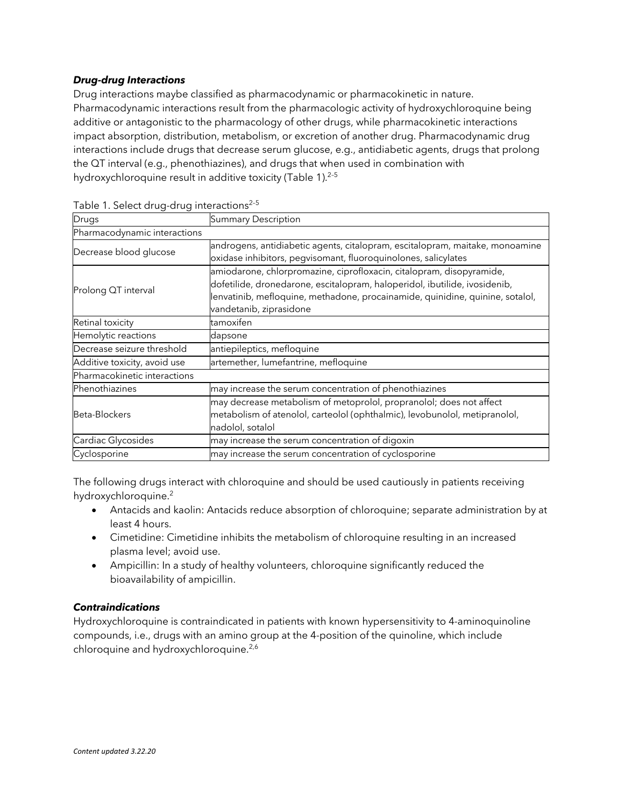#### *Drug-drug Interactions*

Drug interactions maybe classified as pharmacodynamic or pharmacokinetic in nature. Pharmacodynamic interactions result from the pharmacologic activity of hydroxychloroquine being additive or antagonistic to the pharmacology of other drugs, while pharmacokinetic interactions impact absorption, distribution, metabolism, or excretion of another drug. Pharmacodynamic drug interactions include drugs that decrease serum glucose, e.g., antidiabetic agents, drugs that prolong the QT interval (e.g., phenothiazines), and drugs that when used in combination with hydroxychloroquine result in additive toxicity (Table 1).<sup>2-5</sup>

| Drugs                        | <b>Summary Description</b>                                                                                                                                                                                                                                     |  |  |
|------------------------------|----------------------------------------------------------------------------------------------------------------------------------------------------------------------------------------------------------------------------------------------------------------|--|--|
| Pharmacodynamic interactions |                                                                                                                                                                                                                                                                |  |  |
| Decrease blood glucose       | androgens, antidiabetic agents, citalopram, escitalopram, maitake, monoamine<br>oxidase inhibitors, pegvisomant, fluoroquinolones, salicylates                                                                                                                 |  |  |
| Prolong QT interval          | amiodarone, chlorpromazine, ciprofloxacin, citalopram, disopyramide,<br>dofetilide, dronedarone, escitalopram, haloperidol, ibutilide, ivosidenib,<br>lenvatinib, mefloquine, methadone, procainamide, quinidine, quinine, sotalol,<br>vandetanib, ziprasidone |  |  |
| Retinal toxicity             | tamoxifen                                                                                                                                                                                                                                                      |  |  |
| Hemolytic reactions          | dapsone                                                                                                                                                                                                                                                        |  |  |
| Decrease seizure threshold   | antiepileptics, mefloquine                                                                                                                                                                                                                                     |  |  |
| Additive toxicity, avoid use | artemether, lumefantrine, mefloquine                                                                                                                                                                                                                           |  |  |
| Pharmacokinetic interactions |                                                                                                                                                                                                                                                                |  |  |
| Phenothiazines               | may increase the serum concentration of phenothiazines                                                                                                                                                                                                         |  |  |
| Beta-Blockers                | may decrease metabolism of metoprolol, propranolol; does not affect<br>metabolism of atenolol, carteolol (ophthalmic), levobunolol, metipranolol,<br>nadolol, sotalol                                                                                          |  |  |
| Cardiac Glycosides           | may increase the serum concentration of digoxin                                                                                                                                                                                                                |  |  |
| Cyclosporine                 | may increase the serum concentration of cyclosporine                                                                                                                                                                                                           |  |  |

|  | Table 1. Select drug-drug interactions <sup>2-5</sup> |
|--|-------------------------------------------------------|
|  |                                                       |

The following drugs interact with chloroquine and should be used cautiously in patients receiving hydroxychloroquine.<sup>2</sup>

- Antacids and kaolin: Antacids reduce absorption of chloroquine; separate administration by at least 4 hours.
- Cimetidine: Cimetidine inhibits the metabolism of chloroquine resulting in an increased plasma level; avoid use.
- Ampicillin: In a study of healthy volunteers, chloroquine significantly reduced the bioavailability of ampicillin.

#### *Contraindications*

Hydroxychloroquine is contraindicated in patients with known hypersensitivity to 4-aminoquinoline compounds, i.e., drugs with an amino group at the 4-position of the quinoline, which include chloroquine and hydroxychloroquine.<sup>2,6</sup>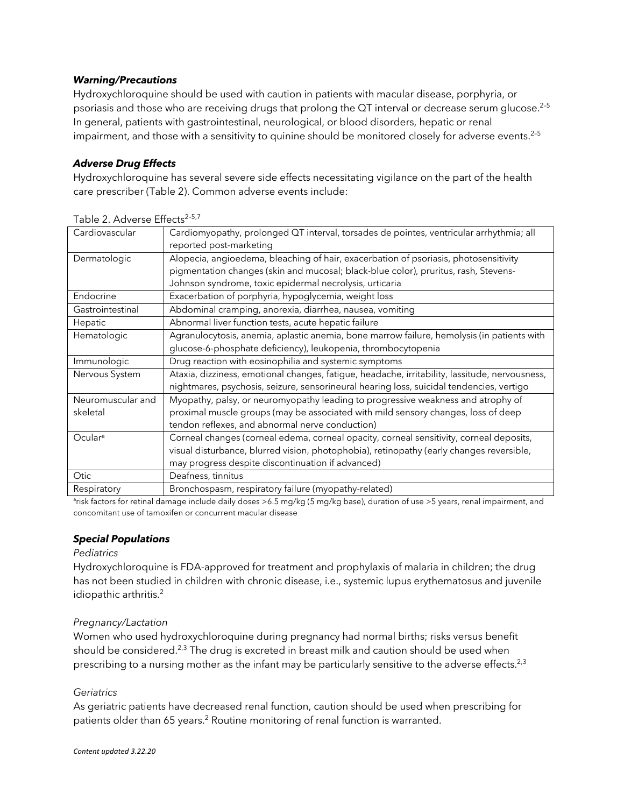#### *Warning/Precautions*

Hydroxychloroquine should be used with caution in patients with macular disease, porphyria, or psoriasis and those who are receiving drugs that prolong the QT interval or decrease serum glucose.<sup>2-5</sup> In general, patients with gastrointestinal, neurological, or blood disorders, hepatic or renal impairment, and those with a sensitivity to quinine should be monitored closely for adverse events.<sup>2-5</sup>

### *Adverse Drug Effects*

Hydroxychloroquine has several severe side effects necessitating vigilance on the part of the health care prescriber (Table 2). Common adverse events include:

| Cardiovascular                | Cardiomyopathy, prolonged QT interval, torsades de pointes, ventricular arrhythmia; all<br>reported post-marketing                                                                                                                       |
|-------------------------------|------------------------------------------------------------------------------------------------------------------------------------------------------------------------------------------------------------------------------------------|
| Dermatologic                  | Alopecia, angioedema, bleaching of hair, exacerbation of psoriasis, photosensitivity<br>pigmentation changes (skin and mucosal; black-blue color), pruritus, rash, Stevens-<br>Johnson syndrome, toxic epidermal necrolysis, urticaria   |
| Endocrine                     | Exacerbation of porphyria, hypoglycemia, weight loss                                                                                                                                                                                     |
| Gastrointestinal              | Abdominal cramping, anorexia, diarrhea, nausea, vomiting                                                                                                                                                                                 |
| Hepatic                       | Abnormal liver function tests, acute hepatic failure                                                                                                                                                                                     |
| Hematologic                   | Agranulocytosis, anemia, aplastic anemia, bone marrow failure, hemolysis (in patients with                                                                                                                                               |
|                               | glucose-6-phosphate deficiency), leukopenia, thrombocytopenia                                                                                                                                                                            |
| Immunologic                   | Drug reaction with eosinophilia and systemic symptoms                                                                                                                                                                                    |
| Nervous System                | Ataxia, dizziness, emotional changes, fatigue, headache, irritability, lassitude, nervousness,<br>nightmares, psychosis, seizure, sensorineural hearing loss, suicidal tendencies, vertigo                                               |
| Neuromuscular and<br>skeletal | Myopathy, palsy, or neuromyopathy leading to progressive weakness and atrophy of<br>proximal muscle groups (may be associated with mild sensory changes, loss of deep<br>tendon reflexes, and abnormal nerve conduction)                 |
| Ocular <sup>a</sup>           | Corneal changes (corneal edema, corneal opacity, corneal sensitivity, corneal deposits,<br>visual disturbance, blurred vision, photophobia), retinopathy (early changes reversible,<br>may progress despite discontinuation if advanced) |
| Otic                          | Deafness, tinnitus                                                                                                                                                                                                                       |
| Respiratory                   | Bronchospasm, respiratory failure (myopathy-related)                                                                                                                                                                                     |

Table 2. Adverse Effects<sup>2-5,7</sup>

a risk factors for retinal damage include daily doses >6.5 mg/kg (5 mg/kg base), duration of use >5 years, renal impairment, and concomitant use of tamoxifen or concurrent macular disease

## *Special Populations*

#### *Pediatrics*

Hydroxychloroquine is FDA-approved for treatment and prophylaxis of malaria in children; the drug has not been studied in children with chronic disease, i.e., systemic lupus erythematosus and juvenile idiopathic arthritis.<sup>2</sup>

#### *Pregnancy/Lactation*

Women who used hydroxychloroquine during pregnancy had normal births; risks versus benefit should be considered.<sup>2,3</sup> The drug is excreted in breast milk and caution should be used when prescribing to a nursing mother as the infant may be particularly sensitive to the adverse effects.<sup>2,3</sup>

#### *Geriatrics*

As geriatric patients have decreased renal function, caution should be used when prescribing for patients older than 65 years.<sup>2</sup> Routine monitoring of renal function is warranted.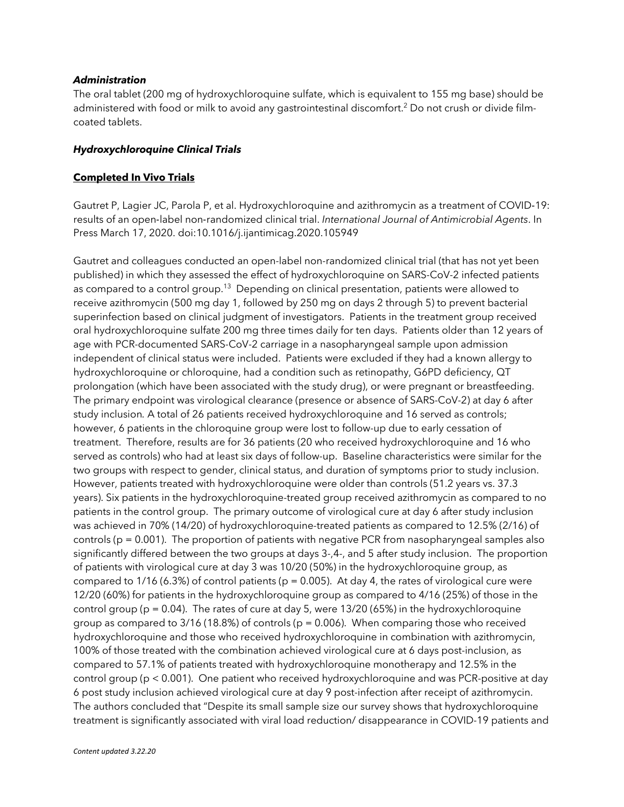#### *Administration*

The oral tablet (200 mg of hydroxychloroquine sulfate, which is equivalent to 155 mg base) should be administered with food or milk to avoid any gastrointestinal discomfort.<sup>2</sup> Do not crush or divide filmcoated tablets.

#### *Hydroxychloroquine Clinical Trials*

#### **Completed In Vivo Trials**

Gautret P, Lagier JC, Parola P, et al. Hydroxychloroquine and azithromycin as a treatment of COVID-19: results of an open-label non-randomized clinical trial. *International Journal of Antimicrobial Agents*. In Press March 17, 2020. doi:10.1016/j.ijantimicag.2020.105949

Gautret and colleagues conducted an open-label non-randomized clinical trial (that has not yet been published) in which they assessed the effect of hydroxychloroquine on SARS-CoV-2 infected patients as compared to a control group.<sup>13</sup> Depending on clinical presentation, patients were allowed to receive azithromycin (500 mg day 1, followed by 250 mg on days 2 through 5) to prevent bacterial superinfection based on clinical judgment of investigators. Patients in the treatment group received oral hydroxychloroquine sulfate 200 mg three times daily for ten days. Patients older than 12 years of age with PCR-documented SARS-CoV-2 carriage in a nasopharyngeal sample upon admission independent of clinical status were included. Patients were excluded if they had a known allergy to hydroxychloroquine or chloroquine, had a condition such as retinopathy, G6PD deficiency, QT prolongation (which have been associated with the study drug), or were pregnant or breastfeeding. The primary endpoint was virological clearance (presence or absence of SARS-CoV-2) at day 6 after study inclusion*.* A total of 26 patients received hydroxychloroquine and 16 served as controls; however, 6 patients in the chloroquine group were lost to follow-up due to early cessation of treatment. Therefore, results are for 36 patients (20 who received hydroxychloroquine and 16 who served as controls) who had at least six days of follow-up. Baseline characteristics were similar for the two groups with respect to gender, clinical status, and duration of symptoms prior to study inclusion. However, patients treated with hydroxychloroquine were older than controls (51.2 years vs. 37.3 years). Six patients in the hydroxychloroquine-treated group received azithromycin as compared to no patients in the control group. The primary outcome of virological cure at day 6 after study inclusion was achieved in 70% (14/20) of hydroxychloroquine-treated patients as compared to 12.5% (2/16) of controls ( $p = 0.001$ ). The proportion of patients with negative PCR from nasopharyngeal samples also significantly differed between the two groups at days 3-,4-, and 5 after study inclusion. The proportion of patients with virological cure at day 3 was 10/20 (50%) in the hydroxychloroquine group, as compared to  $1/16$  (6.3%) of control patients (p = 0.005). At day 4, the rates of virological cure were 12/20 (60%) for patients in the hydroxychloroquine group as compared to 4/16 (25%) of those in the control group ( $p = 0.04$ ). The rates of cure at day 5, were 13/20 (65%) in the hydroxychloroquine group as compared to  $3/16$  (18.8%) of controls ( $p = 0.006$ ). When comparing those who received hydroxychloroquine and those who received hydroxychloroquine in combination with azithromycin, 100% of those treated with the combination achieved virological cure at 6 days post-inclusion, as compared to 57.1% of patients treated with hydroxychloroquine monotherapy and 12.5% in the control group (p < 0.001). One patient who received hydroxychloroquine and was PCR-positive at day 6 post study inclusion achieved virological cure at day 9 post-infection after receipt of azithromycin. The authors concluded that "Despite its small sample size our survey shows that hydroxychloroquine treatment is significantly associated with viral load reduction/ disappearance in COVID-19 patients and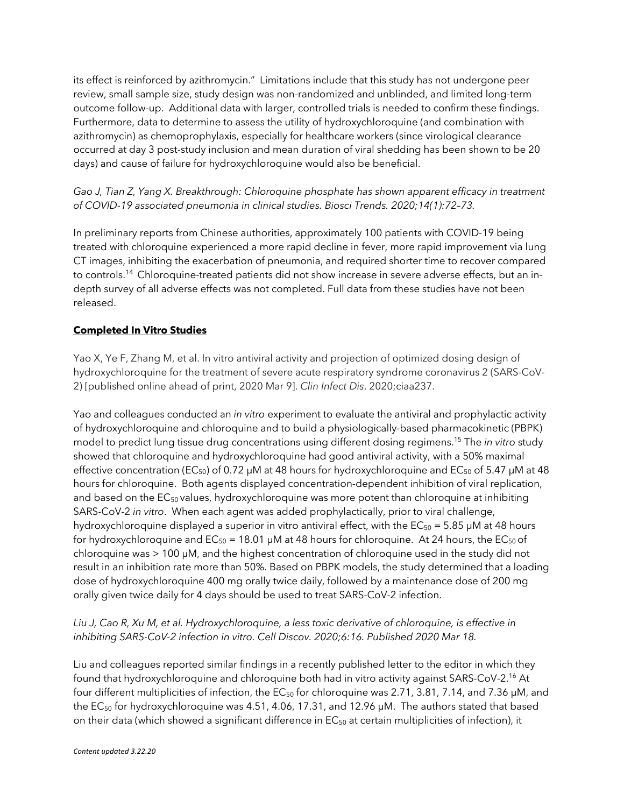its effect is reinforced by azithromycin." Limitations include that this study has not undergone peer review, small sample size, study design was non-randomized and unblinded, and limited long-term outcome follow-up. Additional data with larger, controlled trials is needed to confirm these findings. Furthermore, data to determine to assess the utility of hydroxychloroquine (and combination with azithromycin) as chemoprophylaxis, especially for healthcare workers (since virological clearance occurred at day 3 post-study inclusion and mean duration of viral shedding has been shown to be 20 days) and cause of failure for hydroxychloroquine would also be beneficial.

*Gao J, Tian Z, Yang X. Breakthrough: Chloroquine phosphate has shown apparent efficacy in treatment of COVID-19 associated pneumonia in clinical studies. Biosci Trends. 2020;14(1):72–73.* 

In preliminary reports from Chinese authorities, approximately 100 patients with COVID-19 being treated with chloroquine experienced a more rapid decline in fever, more rapid improvement via lung CT images, inhibiting the exacerbation of pneumonia, and required shorter time to recover compared to controls.<sup>14</sup> Chloroquine-treated patients did not show increase in severe adverse effects, but an indepth survey of all adverse effects was not completed. Full data from these studies have not been released.

## **Completed In Vitro Studies**

Yao X, Ye F, Zhang M, et al. In vitro antiviral activity and projection of optimized dosing design of hydroxychloroquine for the treatment of severe acute respiratory syndrome coronavirus 2 (SARS-CoV-2) [published online ahead of print, 2020 Mar 9]. *Clin Infect Dis*. 2020;ciaa237.

Yao and colleagues conducted an *in vitro* experiment to evaluate the antiviral and prophylactic activity of hydroxychloroquine and chloroquine and to build a physiologically-based pharmacokinetic (PBPK) model to predict lung tissue drug concentrations using different dosing regimens.<sup>15</sup> The *in vitro* study showed that chloroquine and hydroxychloroquine had good antiviral activity, with a 50% maximal effective concentration (EC<sub>50</sub>) of 0.72  $\mu$ M at 48 hours for hydroxychloroquine and EC<sub>50</sub> of 5.47  $\mu$ M at 48 hours for chloroquine. Both agents displayed concentration-dependent inhibition of viral replication, and based on the EC<sub>50</sub> values, hydroxychloroquine was more potent than chloroquine at inhibiting SARS-CoV-2 *in vitro*. When each agent was added prophylactically, prior to viral challenge, hydroxychloroquine displayed a superior in vitro antiviral effect, with the  $EC_{50} = 5.85 \mu M$  at 48 hours for hydroxychloroquine and  $EC_{50} = 18.01 \mu M$  at 48 hours for chloroquine. At 24 hours, the  $EC_{50}$  of chloroquine was > 100 μM, and the highest concentration of chloroquine used in the study did not result in an inhibition rate more than 50%. Based on PBPK models, the study determined that a loading dose of hydroxychloroquine 400 mg orally twice daily, followed by a maintenance dose of 200 mg orally given twice daily for 4 days should be used to treat SARS-CoV-2 infection.

### *Liu J, Cao R, Xu M, et al. Hydroxychloroquine, a less toxic derivative of chloroquine, is effective in inhibiting SARS-CoV-2 infection in vitro. Cell Discov. 2020;6:16. Published 2020 Mar 18.*

Liu and colleagues reported similar findings in a recently published letter to the editor in which they found that hydroxychloroquine and chloroquine both had in vitro activity against SARS-CoV-2.<sup>16</sup> At four different multiplicities of infection, the  $EC_{50}$  for chloroquine was 2.71, 3.81, 7.14, and 7.36  $\mu$ M, and the EC<sub>50</sub> for hydroxychloroquine was 4.51, 4.06, 17.31, and 12.96 μM. The authors stated that based on their data (which showed a significant difference in  $EC_{50}$  at certain multiplicities of infection), it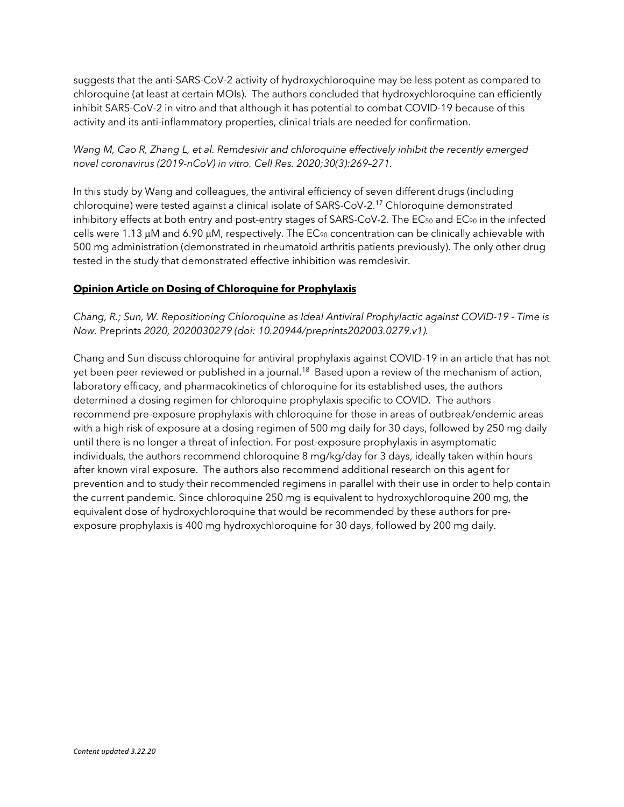suggests that the anti-SARS-CoV-2 activity of hydroxychloroquine may be less potent as compared to chloroquine (at least at certain MOIs). The authors concluded that hydroxychloroquine can efficiently inhibit SARS-CoV-2 in vitro and that although it has potential to combat COVID-19 because of this activity and its anti-inflammatory properties, clinical trials are needed for confirmation.

## *Wang M, Cao R, Zhang L, et al. Remdesivir and chloroquine effectively inhibit the recently emerged novel coronavirus (2019-nCoV) in vitro. Cell Res. 2020;30(3):269–271.*

In this study by Wang and colleagues, the antiviral efficiency of seven different drugs (including chloroquine) were tested against a clinical isolate of SARS-CoV-2.<sup>17</sup> Chloroquine demonstrated inhibitory effects at both entry and post-entry stages of SARS-CoV-2. The  $EC_{50}$  and  $EC_{90}$  in the infected cells were 1.13  $\mu$ M and 6.90  $\mu$ M, respectively. The EC<sub>90</sub> concentration can be clinically achievable with 500 mg administration (demonstrated in rheumatoid arthritis patients previously). The only other drug tested in the study that demonstrated effective inhibition was remdesivir.

## **Opinion Article on Dosing of Chloroquine for Prophylaxis**

*Chang, R.; Sun, W. Repositioning Chloroquine as Ideal Antiviral Prophylactic against COVID-19 - Time is Now.* Preprints *2020, 2020030279 (doi: 10.20944/preprints202003.0279.v1).*

Chang and Sun discuss chloroquine for antiviral prophylaxis against COVID-19 in an article that has not yet been peer reviewed or published in a journal.<sup>18</sup> Based upon a review of the mechanism of action, laboratory efficacy, and pharmacokinetics of chloroquine for its established uses, the authors determined a dosing regimen for chloroquine prophylaxis specific to COVID. The authors recommend pre-exposure prophylaxis with chloroquine for those in areas of outbreak/endemic areas with a high risk of exposure at a dosing regimen of 500 mg daily for 30 days, followed by 250 mg daily until there is no longer a threat of infection. For post-exposure prophylaxis in asymptomatic individuals, the authors recommend chloroquine 8 mg/kg/day for 3 days, ideally taken within hours after known viral exposure. The authors also recommend additional research on this agent for prevention and to study their recommended regimens in parallel with their use in order to help contain the current pandemic. Since chloroquine 250 mg is equivalent to hydroxychloroquine 200 mg, the equivalent dose of hydroxychloroquine that would be recommended by these authors for preexposure prophylaxis is 400 mg hydroxychloroquine for 30 days, followed by 200 mg daily.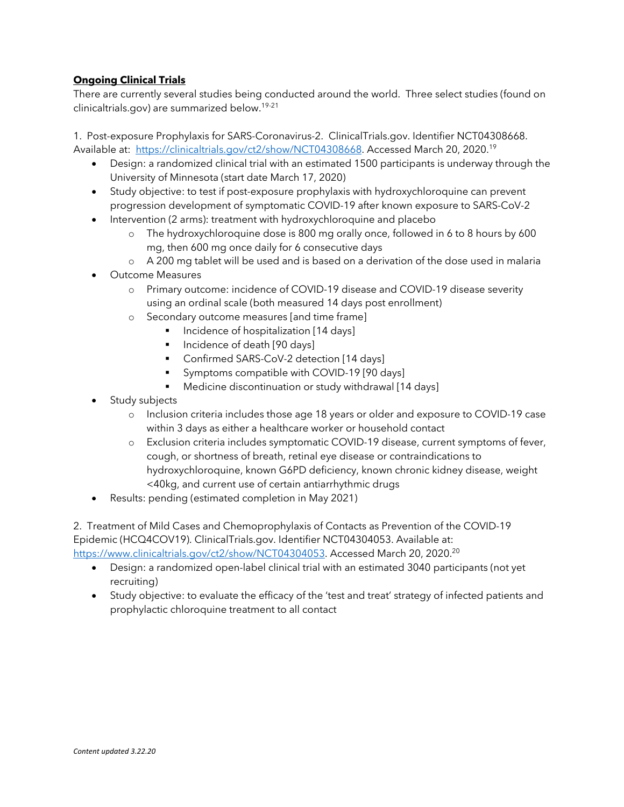## **Ongoing Clinical Trials**

There are currently several studies being conducted around the world. Three select studies (found on clinicaltrials.gov) are summarized below.19-21

1. Post-exposure Prophylaxis for SARS-Coronavirus-2. ClinicalTrials.gov. Identifier NCT04308668. Available at: https://clinicaltrials.gov/ct2/show/NCT04308668. Accessed March 20, 2020.<sup>19</sup>

- Design: a randomized clinical trial with an estimated 1500 participants is underway through the University of Minnesota (start date March 17, 2020)
- Study objective: to test if post-exposure prophylaxis with hydroxychloroquine can prevent progression development of symptomatic COVID-19 after known exposure to SARS-CoV-2
- Intervention (2 arms): treatment with hydroxychloroquine and placebo
	- o The hydroxychloroquine dose is 800 mg orally once, followed in 6 to 8 hours by 600 mg, then 600 mg once daily for 6 consecutive days
	- o A 200 mg tablet will be used and is based on a derivation of the dose used in malaria
- Outcome Measures
	- o Primary outcome: incidence of COVID-19 disease and COVID-19 disease severity using an ordinal scale (both measured 14 days post enrollment)
	- o Secondary outcome measures [and time frame]
		- Incidence of hospitalization [14 days]
			- § Incidence of death [90 days]
		- Confirmed SARS-CoV-2 detection [14 days]
		- Symptoms compatible with COVID-19 [90 days]
		- Medicine discontinuation or study withdrawal [14 days]
- Study subjects
	- o Inclusion criteria includes those age 18 years or older and exposure to COVID-19 case within 3 days as either a healthcare worker or household contact
	- o Exclusion criteria includes symptomatic COVID-19 disease, current symptoms of fever, cough, or shortness of breath, retinal eye disease or contraindications to hydroxychloroquine, known G6PD deficiency, known chronic kidney disease, weight <40kg, and current use of certain antiarrhythmic drugs
- Results: pending (estimated completion in May 2021)

2. Treatment of Mild Cases and Chemoprophylaxis of Contacts as Prevention of the COVID-19 Epidemic (HCQ4COV19). ClinicalTrials.gov. Identifier NCT04304053. Available at: https://www.clinicaltrials.gov/ct2/show/NCT04304053. Accessed March 20, 2020.<sup>20</sup>

- Design: a randomized open-label clinical trial with an estimated 3040 participants (not yet recruiting)
- Study objective: to evaluate the efficacy of the 'test and treat' strategy of infected patients and prophylactic chloroquine treatment to all contact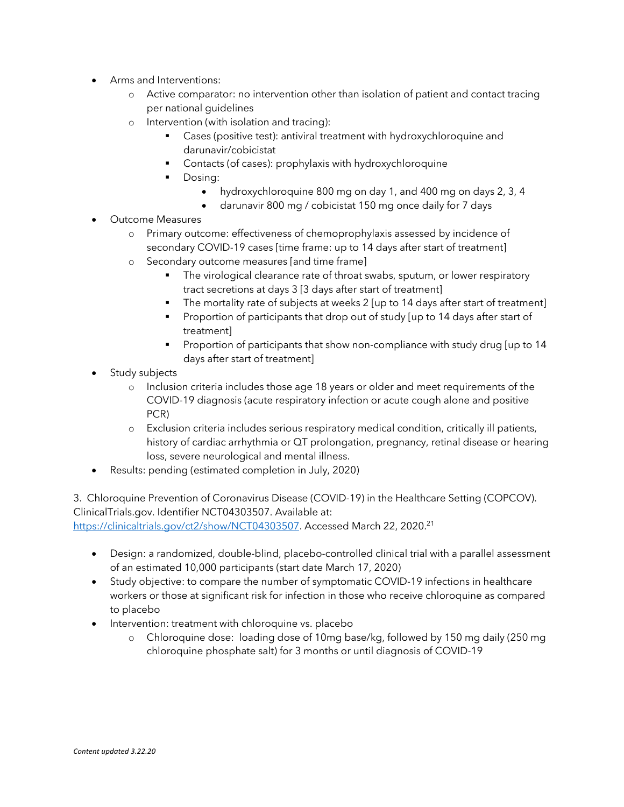- Arms and Interventions:
	- o Active comparator: no intervention other than isolation of patient and contact tracing per national guidelines
	- o Intervention (with isolation and tracing):
		- Cases (positive test): antiviral treatment with hydroxychloroquine and darunavir/cobicistat
		- Contacts (of cases): prophylaxis with hydroxychloroquine
		- Dosing:
			- hydroxychloroquine 800 mg on day 1, and 400 mg on days 2, 3, 4
			- darunavir 800 mg / cobicistat 150 mg once daily for 7 days
- Outcome Measures
	- o Primary outcome: effectiveness of chemoprophylaxis assessed by incidence of secondary COVID-19 cases [time frame: up to 14 days after start of treatment]
	- o Secondary outcome measures [and time frame]
		- The virological clearance rate of throat swabs, sputum, or lower respiratory tract secretions at days 3 [3 days after start of treatment]
		- The mortality rate of subjects at weeks 2 [up to 14 days after start of treatment]
		- Proportion of participants that drop out of study [up to 14 days after start of treatment]
		- § Proportion of participants that show non-compliance with study drug [up to 14 days after start of treatment]
- Study subjects
	- o Inclusion criteria includes those age 18 years or older and meet requirements of the COVID-19 diagnosis (acute respiratory infection or acute cough alone and positive PCR)
	- o Exclusion criteria includes serious respiratory medical condition, critically ill patients, history of cardiac arrhythmia or QT prolongation, pregnancy, retinal disease or hearing loss, severe neurological and mental illness.
- Results: pending (estimated completion in July, 2020)

3. Chloroquine Prevention of Coronavirus Disease (COVID-19) in the Healthcare Setting (COPCOV). ClinicalTrials.gov. Identifier NCT04303507. Available at: https://clinicaltrials.gov/ct2/show/NCT04303507. Accessed March 22, 2020.<sup>21</sup>

- Design: a randomized, double-blind, placebo-controlled clinical trial with a parallel assessment of an estimated 10,000 participants (start date March 17, 2020)
- Study objective: to compare the number of symptomatic COVID-19 infections in healthcare workers or those at significant risk for infection in those who receive chloroquine as compared to placebo
- Intervention: treatment with chloroquine vs. placebo
	- o Chloroquine dose: loading dose of 10mg base/kg, followed by 150 mg daily (250 mg chloroquine phosphate salt) for 3 months or until diagnosis of COVID-19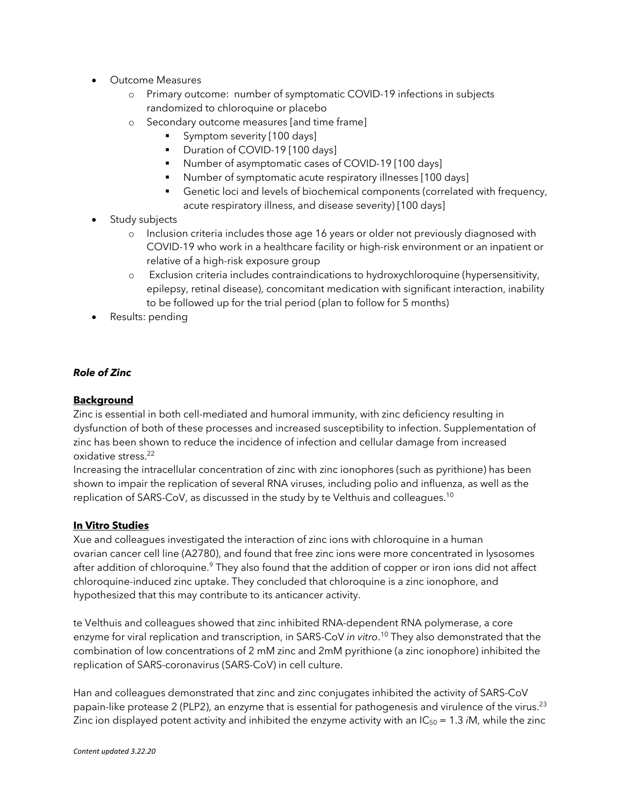- Outcome Measures
	- o Primary outcome: number of symptomatic COVID-19 infections in subjects randomized to chloroquine or placebo
	- o Secondary outcome measures [and time frame]
		- Symptom severity [100 days]
		- Duration of COVID-19 [100 days]
		- § Number of asymptomatic cases of COVID-19 [100 days]
		- § Number of symptomatic acute respiratory illnesses [100 days]
		- Genetic loci and levels of biochemical components (correlated with frequency, acute respiratory illness, and disease severity) [100 days]
- Study subjects
	- o Inclusion criteria includes those age 16 years or older not previously diagnosed with COVID-19 who work in a healthcare facility or high-risk environment or an inpatient or relative of a high-risk exposure group
	- o Exclusion criteria includes contraindications to hydroxychloroquine (hypersensitivity, epilepsy, retinal disease), concomitant medication with significant interaction, inability to be followed up for the trial period (plan to follow for 5 months)
- Results: pending

## *Role of Zinc*

## **Background**

Zinc is essential in both cell-mediated and humoral immunity, with zinc deficiency resulting in dysfunction of both of these processes and increased susceptibility to infection. Supplementation of zinc has been shown to reduce the incidence of infection and cellular damage from increased oxidative stress.<sup>22</sup>

Increasing the intracellular concentration of zinc with zinc ionophores (such as pyrithione) has been shown to impair the replication of several RNA viruses, including polio and influenza, as well as the replication of SARS-CoV, as discussed in the study by te Velthuis and colleagues.<sup>10</sup>

#### **In Vitro Studies**

Xue and colleagues investigated the interaction of zinc ions with chloroquine in a human ovarian cancer cell line (A2780), and found that free zinc ions were more concentrated in lysosomes after addition of chloroquine.<sup>9</sup> They also found that the addition of copper or iron ions did not affect chloroquine-induced zinc uptake. They concluded that chloroquine is a zinc ionophore, and hypothesized that this may contribute to its anticancer activity.

te Velthuis and colleagues showed that zinc inhibited RNA-dependent RNA polymerase, a core enzyme for viral replication and transcription, in SARS-CoV *in vitro*. <sup>10</sup> They also demonstrated that the combination of low concentrations of 2 mM zinc and 2mM pyrithione (a zinc ionophore) inhibited the replication of SARS-coronavirus (SARS-CoV) in cell culture.

Han and colleagues demonstrated that zinc and zinc conjugates inhibited the activity of SARS-CoV papain-like protease 2 (PLP2), an enzyme that is essential for pathogenesis and virulence of the virus.<sup>23</sup> Zinc ion displayed potent activity and inhibited the enzyme activity with an  $IC_{50} = 1.3$  *iM*, while the zinc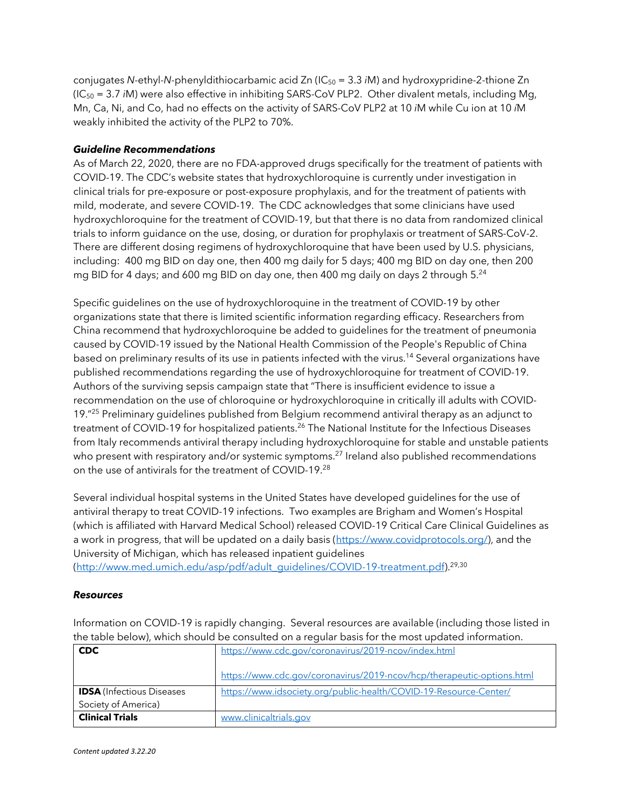conjugates *N*-ethyl-*N*-phenyldithiocarbamic acid Zn (IC<sup>50</sup> = 3.3 *i*M) and hydroxypridine-2-thione Zn (IC<sup>50</sup> = 3.7 *i*M) were also effective in inhibiting SARS-CoV PLP2. Other divalent metals, including Mg, Mn, Ca, Ni, and Co, had no effects on the activity of SARS-CoV PLP2 at 10 *i*M while Cu ion at 10 *í*M weakly inhibited the activity of the PLP2 to 70%.

#### *Guideline Recommendations*

As of March 22, 2020, there are no FDA-approved drugs specifically for the treatment of patients with COVID-19. The CDC's website states that hydroxychloroquine is currently under investigation in clinical trials for pre-exposure or post-exposure prophylaxis, and for the treatment of patients with mild, moderate, and severe COVID-19. The CDC acknowledges that some clinicians have used hydroxychloroquine for the treatment of COVID-19, but that there is no data from randomized clinical trials to inform guidance on the use, dosing, or duration for prophylaxis or treatment of SARS-CoV-2. There are different dosing regimens of hydroxychloroquine that have been used by U.S. physicians, including: 400 mg BID on day one, then 400 mg daily for 5 days; 400 mg BID on day one, then 200 mg BID for 4 days; and 600 mg BID on day one, then 400 mg daily on days 2 through  $5.^{24}$ 

Specific guidelines on the use of hydroxychloroquine in the treatment of COVID-19 by other organizations state that there is limited scientific information regarding efficacy. Researchers from China recommend that hydroxychloroquine be added to guidelines for the treatment of pneumonia caused by COVID-19 issued by the National Health Commission of the People's Republic of China based on preliminary results of its use in patients infected with the virus.<sup>14</sup> Several organizations have published recommendations regarding the use of hydroxychloroquine for treatment of COVID-19. Authors of the surviving sepsis campaign state that "There is insufficient evidence to issue a recommendation on the use of chloroquine or hydroxychloroquine in critically ill adults with COVID-19."<sup>25</sup> Preliminary guidelines published from Belgium recommend antiviral therapy as an adjunct to treatment of COVID-19 for hospitalized patients.<sup>26</sup> The National Institute for the Infectious Diseases from Italy recommends antiviral therapy including hydroxychloroquine for stable and unstable patients who present with respiratory and/or systemic symptoms.<sup>27</sup> Ireland also published recommendations on the use of antivirals for the treatment of COVID-19.<sup>28</sup>

Several individual hospital systems in the United States have developed guidelines for the use of antiviral therapy to treat COVID-19 infections. Two examples are Brigham and Women's Hospital (which is affiliated with Harvard Medical School) released COVID-19 Critical Care Clinical Guidelines as a work in progress, that will be updated on a daily basis (https://www.covidprotocols.org/), and the University of Michigan, which has released inpatient guidelines (http://www.med.umich.edu/asp/pdf/adult\_guidelines/COVID-19-treatment.pdf).<sup>29,30</sup>

#### *Resources*

Information on COVID-19 is rapidly changing. Several resources are available (including those listed in the table below), which should be consulted on a regular basis for the most updated information.

| <b>CDC</b>                       | https://www.cdc.gov/coronavirus/2019-ncov/index.html                   |
|----------------------------------|------------------------------------------------------------------------|
|                                  | https://www.cdc.gov/coronavirus/2019-ncov/hcp/therapeutic-options.html |
| <b>IDSA</b> (Infectious Diseases | https://www.idsociety.org/public-health/COVID-19-Resource-Center/      |
| Society of America)              |                                                                        |
| <b>Clinical Trials</b>           | www.clinicaltrials.gov                                                 |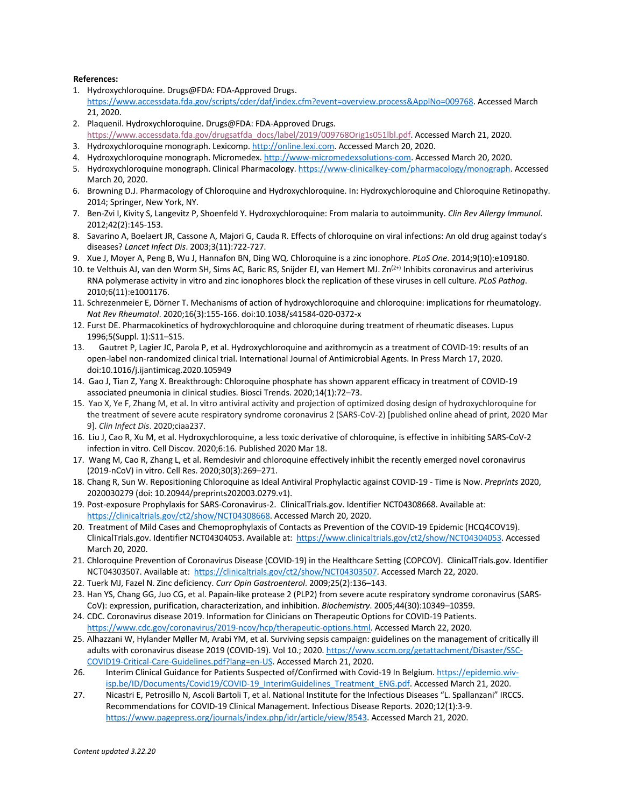#### **References:**

- 1. Hydroxychloroquine. Drugs@FDA: FDA-Approved Drugs. https://www.accessdata.fda.gov/scripts/cder/daf/index.cfm?event=overview.process&ApplNo=009768. Accessed March 21, 2020.
- 2. Plaquenil. Hydroxychloroquine. Drugs@FDA: FDA-Approved Drugs. https://www.accessdata.fda.gov/drugsatfda\_docs/label/2019/009768Orig1s051lbl.pdf. Accessed March 21, 2020.
- 3. Hydroxychloroquine monograph. Lexicomp. http://online.lexi.com. Accessed March 20, 2020.
- 4. Hydroxychloroquine monograph. Micromedex. http://www-micromedexsolutions-com. Accessed March 20, 2020.
- 5. Hydroxychloroquine monograph. Clinical Pharmacology. https://www-clinicalkey-com/pharmacology/monograph. Accessed March 20, 2020.
- 6. Browning D.J. Pharmacology of Chloroquine and Hydroxychloroquine. In: Hydroxychloroquine and Chloroquine Retinopathy. 2014; Springer, New York, NY.
- 7. Ben-Zvi I, Kivity S, Langevitz P, Shoenfeld Y. Hydroxychloroquine: From malaria to autoimmunity. *Clin Rev Allergy Immunol*. 2012;42(2):145-153.
- 8. Savarino A, Boelaert JR, Cassone A, Majori G, Cauda R. Effects of chloroquine on viral infections: An old drug against today's diseases? *Lancet Infect Dis*. 2003;3(11):722-727.
- 9. Xue J, Moyer A, Peng B, Wu J, Hannafon BN, Ding WQ. Chloroquine is a zinc ionophore. *PLoS One*. 2014;9(10):e109180.
- 10. te Velthuis AJ, van den Worm SH, Sims AC, Baric RS, Snijder EJ, van Hemert MJ. Zn<sup>(2+)</sup> Inhibits coronavirus and arterivirus RNA polymerase activity in vitro and zinc ionophores block the replication of these viruses in cell culture. *PLoS Pathog*. 2010;6(11):e1001176.
- 11. Schrezenmeier E, Dörner T. Mechanisms of action of hydroxychloroquine and chloroquine: implications for rheumatology. *Nat Rev Rheumatol*. 2020;16(3):155-166. doi:10.1038/s41584-020-0372-x
- 12. Furst DE. Pharmacokinetics of hydroxychloroquine and chloroquine during treatment of rheumatic diseases. Lupus 1996;5(Suppl. 1):S11–S15.
- 13. Gautret P, Lagier JC, Parola P, et al. Hydroxychloroquine and azithromycin as a treatment of COVID-19: results of an open-label non-randomized clinical trial. International Journal of Antimicrobial Agents. In Press March 17, 2020. doi:10.1016/j.ijantimicag.2020.105949
- 14. Gao J, Tian Z, Yang X. Breakthrough: Chloroquine phosphate has shown apparent efficacy in treatment of COVID-19 associated pneumonia in clinical studies. Biosci Trends. 2020;14(1):72–73.
- 15. Yao X, Ye F, Zhang M, et al. In vitro antiviral activity and projection of optimized dosing design of hydroxychloroquine for the treatment of severe acute respiratory syndrome coronavirus 2 (SARS-CoV-2) [published online ahead of print, 2020 Mar 9]. *Clin Infect Dis*. 2020;ciaa237.
- 16. Liu J, Cao R, Xu M, et al. Hydroxychloroquine, a less toxic derivative of chloroquine, is effective in inhibiting SARS-CoV-2 infection in vitro. Cell Discov. 2020;6:16. Published 2020 Mar 18.
- 17. Wang M, Cao R, Zhang L, et al. Remdesivir and chloroquine effectively inhibit the recently emerged novel coronavirus (2019-nCoV) in vitro. Cell Res. 2020;30(3):269–271.
- 18. Chang R, Sun W. Repositioning Chloroquine as Ideal Antiviral Prophylactic against COVID-19 Time is Now. *Preprints* 2020, 2020030279 (doi: 10.20944/preprints202003.0279.v1).
- 19. Post-exposure Prophylaxis for SARS-Coronavirus-2. ClinicalTrials.gov. Identifier NCT04308668. Available at: https://clinicaltrials.gov/ct2/show/NCT04308668. Accessed March 20, 2020.
- 20. Treatment of Mild Cases and Chemoprophylaxis of Contacts as Prevention of the COVID-19 Epidemic (HCQ4COV19). ClinicalTrials.gov. Identifier NCT04304053. Available at: https://www.clinicaltrials.gov/ct2/show/NCT04304053. Accessed March 20, 2020.
- 21. Chloroquine Prevention of Coronavirus Disease (COVID-19) in the Healthcare Setting (COPCOV). ClinicalTrials.gov. Identifier NCT04303507. Available at: https://clinicaltrials.gov/ct2/show/NCT04303507. Accessed March 22, 2020.
- 22. Tuerk MJ, Fazel N. Zinc deficiency. *Curr Opin Gastroenterol*. 2009;25(2):136–143.
- 23. Han YS, Chang GG, Juo CG, et al. Papain-like protease 2 (PLP2) from severe acute respiratory syndrome coronavirus (SARS-CoV): expression, purification, characterization, and inhibition. *Biochemistry*. 2005;44(30):10349–10359.
- 24. CDC. Coronavirus disease 2019. Information for Clinicians on Therapeutic Options for COVID-19 Patients. https://www.cdc.gov/coronavirus/2019-ncov/hcp/therapeutic-options.html. Accessed March 22, 2020.
- 25. Alhazzani W, Hylander Møller M, Arabi YM, et al. Surviving sepsis campaign: guidelines on the management of critically ill adults with coronavirus disease 2019 (COVID-19). Vol 10.; 2020. https://www.sccm.org/getattachment/Disaster/SSC-COVID19-Critical-Care-Guidelines.pdf?lang=en-US. Accessed March 21, 2020.
- 26. Interim Clinical Guidance for Patients Suspected of/Confirmed with Covid-19 In Belgium. https://epidemio.wivisp.be/ID/Documents/Covid19/COVID-19\_InterimGuidelines\_Treatment\_ENG.pdf. Accessed March 21, 2020.
- 27. Nicastri E, Petrosillo N, Ascoli Bartoli T, et al. National Institute for the Infectious Diseases "L. Spallanzani" IRCCS. Recommendations for COVID-19 Clinical Management. Infectious Disease Reports. 2020;12(1):3-9. https://www.pagepress.org/journals/index.php/idr/article/view/8543. Accessed March 21, 2020.